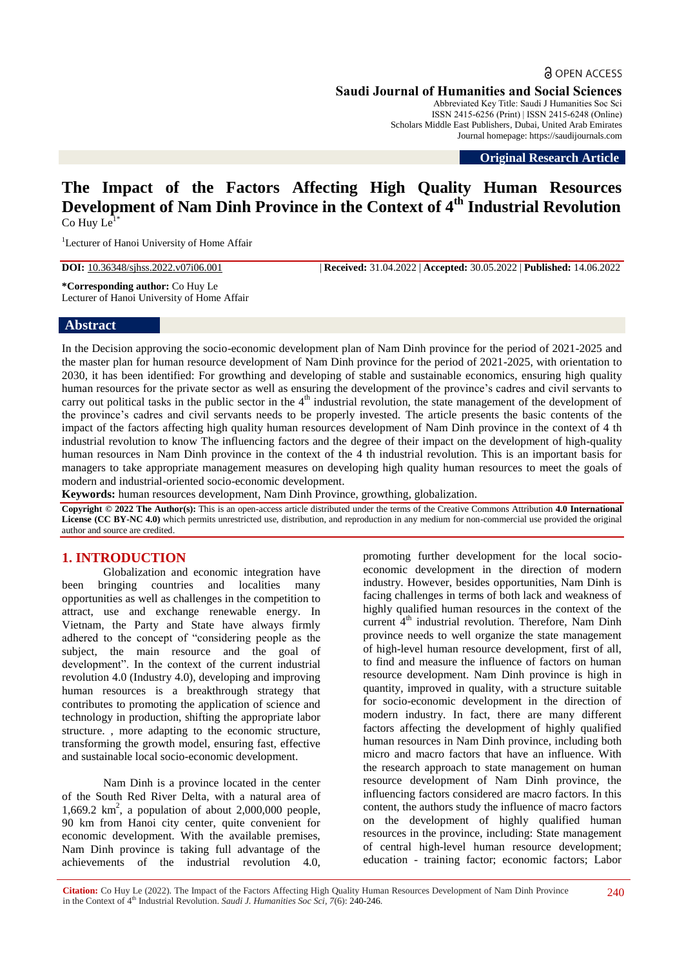**Saudi Journal of Humanities and Social Sciences** Abbreviated Key Title: Saudi J Humanities Soc Sci

ISSN 2415-6256 (Print) | ISSN 2415-6248 (Online) Scholars Middle East Publishers, Dubai, United Arab Emirates Journal homepage: https://saudijournals.com

**Original Research Article**

# **The Impact of the Factors Affecting High Quality Human Resources Development of Nam Dinh Province in the Context of 4th Industrial Revolution**  $Co$  Huy  $Le<sup>1</sup>$

<sup>1</sup>Lecturer of Hanoi University of Home Affair

**DOI:** 10.36348/sjhss.2022.v07i06.001 | **Received:** 31.04.2022 | **Accepted:** 30.05.2022 | **Published:** 14.06.2022

**\*Corresponding author:** Co Huy Le Lecturer of Hanoi University of Home Affair

#### **Abstract**

In the Decision approving the socio-economic development plan of Nam Dinh province for the period of 2021-2025 and the master plan for human resource development of Nam Dinh province for the period of 2021-2025, with orientation to 2030, it has been identified: For growthing and developing of stable and sustainable economics, ensuring high quality human resources for the private sector as well as ensuring the development of the province's cadres and civil servants to carry out political tasks in the public sector in the  $4<sup>th</sup>$  industrial revolution, the state management of the development of the province's cadres and civil servants needs to be properly invested. The article presents the basic contents of the impact of the factors affecting high quality human resources development of Nam Dinh province in the context of 4 th industrial revolution to know The influencing factors and the degree of their impact on the development of high-quality human resources in Nam Dinh province in the context of the 4 th industrial revolution. This is an important basis for managers to take appropriate management measures on developing high quality human resources to meet the goals of modern and industrial-oriented socio-economic development.

**Keywords:** human resources development, Nam Dinh Province, growthing, globalization.

**Copyright © 2022 The Author(s):** This is an open-access article distributed under the terms of the Creative Commons Attribution **4.0 International License (CC BY-NC 4.0)** which permits unrestricted use, distribution, and reproduction in any medium for non-commercial use provided the original author and source are credited.

## **1. INTRODUCTION**

Globalization and economic integration have been bringing countries and localities many opportunities as well as challenges in the competition to attract, use and exchange renewable energy. In Vietnam, the Party and State have always firmly adhered to the concept of "considering people as the subject, the main resource and the goal of development". In the context of the current industrial revolution 4.0 (Industry 4.0), developing and improving human resources is a breakthrough strategy that contributes to promoting the application of science and technology in production, shifting the appropriate labor structure. , more adapting to the economic structure, transforming the growth model, ensuring fast, effective and sustainable local socio-economic development.

Nam Dinh is a province located in the center of the South Red River Delta, with a natural area of 1,669.2  $km^2$ , a population of about 2,000,000 people, 90 km from Hanoi city center, quite convenient for economic development. With the available premises, Nam Dinh province is taking full advantage of the achievements of the industrial revolution 4.0,

promoting further development for the local socioeconomic development in the direction of modern industry. However, besides opportunities, Nam Dinh is facing challenges in terms of both lack and weakness of highly qualified human resources in the context of the current 4<sup>th</sup> industrial revolution. Therefore, Nam Dinh province needs to well organize the state management of high-level human resource development, first of all, to find and measure the influence of factors on human resource development. Nam Dinh province is high in quantity, improved in quality, with a structure suitable for socio-economic development in the direction of modern industry. In fact, there are many different factors affecting the development of highly qualified human resources in Nam Dinh province, including both micro and macro factors that have an influence. With the research approach to state management on human resource development of Nam Dinh province, the influencing factors considered are macro factors. In this content, the authors study the influence of macro factors on the development of highly qualified human resources in the province, including: State management of central high-level human resource development; education - training factor; economic factors; Labor

**Citation:** Co Huy Le (2022). The Impact of the Factors Affecting High Quality Human Resources Development of Nam Dinh Province in the Context of 4<sup>th</sup> Industrial Revolution. *Saudi J. Humanities Soc Sci, 7*(6): 240-246.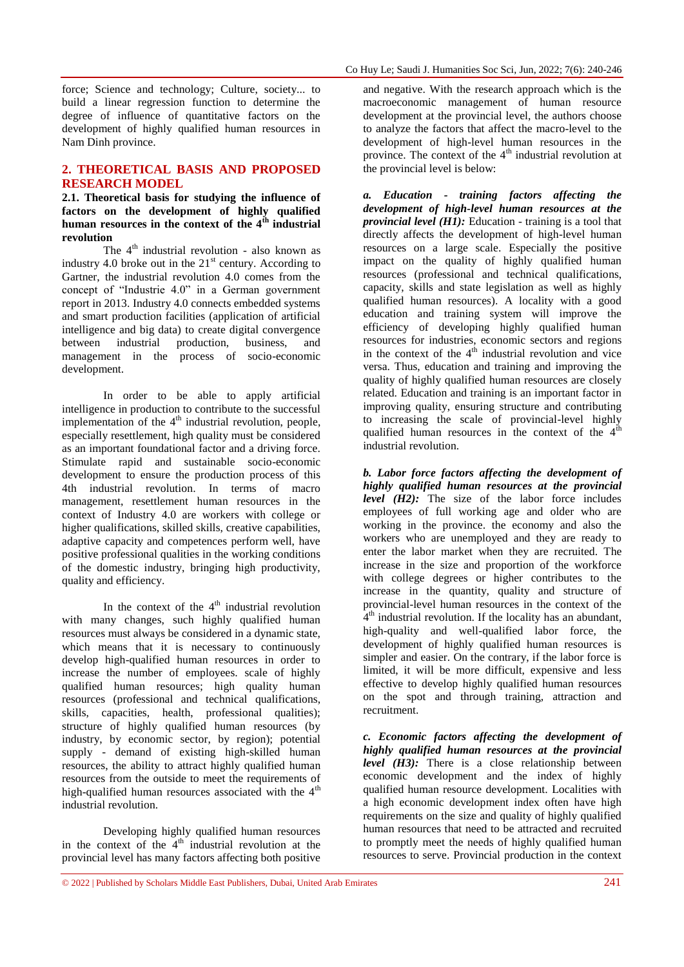force; Science and technology; Culture, society... to build a linear regression function to determine the degree of influence of quantitative factors on the development of highly qualified human resources in Nam Dinh province.

## **2. THEORETICAL BASIS AND PROPOSED RESEARCH MODEL**

**2.1. Theoretical basis for studying the influence of factors on the development of highly qualified human resources in the context of the 4th industrial revolution** 

The  $4<sup>th</sup>$  industrial revolution - also known as industry 4.0 broke out in the  $21<sup>st</sup>$  century. According to Gartner, the industrial revolution 4.0 comes from the concept of "Industrie 4.0" in a German government report in 2013. Industry 4.0 connects embedded systems and smart production facilities (application of artificial intelligence and big data) to create digital convergence between industrial production, business, and management in the process of socio-economic development.

In order to be able to apply artificial intelligence in production to contribute to the successful implementation of the  $4<sup>th</sup>$  industrial revolution, people, especially resettlement, high quality must be considered as an important foundational factor and a driving force. Stimulate rapid and sustainable socio-economic development to ensure the production process of this 4th industrial revolution. In terms of macro management, resettlement human resources in the context of Industry 4.0 are workers with college or higher qualifications, skilled skills, creative capabilities, adaptive capacity and competences perform well, have positive professional qualities in the working conditions of the domestic industry, bringing high productivity, quality and efficiency.

In the context of the  $4<sup>th</sup>$  industrial revolution with many changes, such highly qualified human resources must always be considered in a dynamic state, which means that it is necessary to continuously develop high-qualified human resources in order to increase the number of employees. scale of highly qualified human resources; high quality human resources (professional and technical qualifications, skills, capacities, health, professional qualities); structure of highly qualified human resources (by industry, by economic sector, by region); potential supply - demand of existing high-skilled human resources, the ability to attract highly qualified human resources from the outside to meet the requirements of high-qualified human resources associated with the 4<sup>th</sup> industrial revolution.

Developing highly qualified human resources in the context of the  $4<sup>th</sup>$  industrial revolution at the provincial level has many factors affecting both positive

and negative. With the research approach which is the macroeconomic management of human resource development at the provincial level, the authors choose to analyze the factors that affect the macro-level to the development of high-level human resources in the province. The context of the  $4<sup>th</sup>$  industrial revolution at the provincial level is below:

*a. Education - training factors affecting the development of high-level human resources at the provincial level (H1):* Education - training is a tool that directly affects the development of high-level human resources on a large scale. Especially the positive impact on the quality of highly qualified human resources (professional and technical qualifications, capacity, skills and state legislation as well as highly qualified human resources). A locality with a good education and training system will improve the efficiency of developing highly qualified human resources for industries, economic sectors and regions in the context of the  $4<sup>th</sup>$  industrial revolution and vice versa. Thus, education and training and improving the quality of highly qualified human resources are closely related. Education and training is an important factor in improving quality, ensuring structure and contributing to increasing the scale of provincial-level highly qualified human resources in the context of the  $4<sup>d</sup>$ industrial revolution.

*b. Labor force factors affecting the development of highly qualified human resources at the provincial level* (*H2*): The size of the labor force includes employees of full working age and older who are working in the province. the economy and also the workers who are unemployed and they are ready to enter the labor market when they are recruited. The increase in the size and proportion of the workforce with college degrees or higher contributes to the increase in the quantity, quality and structure of provincial-level human resources in the context of the  $\tilde{A}^{th}$  industrial revolution. If the locality has an abundant, high-quality and well-qualified labor force, the development of highly qualified human resources is simpler and easier. On the contrary, if the labor force is limited, it will be more difficult, expensive and less effective to develop highly qualified human resources on the spot and through training, attraction and recruitment.

*c. Economic factors affecting the development of highly qualified human resources at the provincial level (H3):* There is a close relationship between economic development and the index of highly qualified human resource development. Localities with a high economic development index often have high requirements on the size and quality of highly qualified human resources that need to be attracted and recruited to promptly meet the needs of highly qualified human resources to serve. Provincial production in the context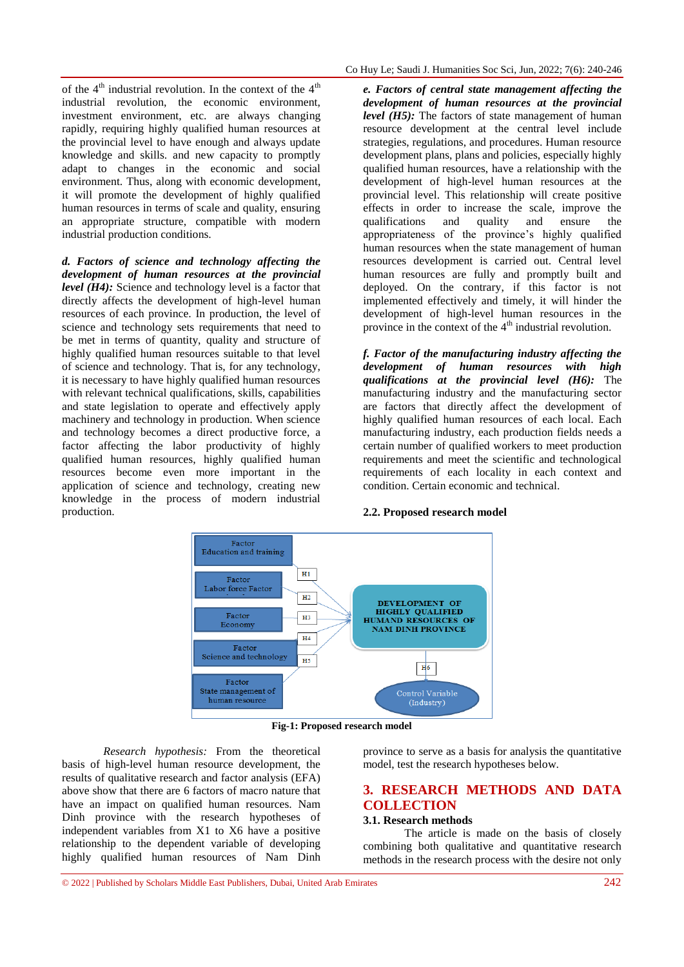of the  $4<sup>th</sup>$  industrial revolution. In the context of the  $4<sup>th</sup>$ industrial revolution, the economic environment, investment environment, etc. are always changing rapidly, requiring highly qualified human resources at the provincial level to have enough and always update knowledge and skills. and new capacity to promptly adapt to changes in the economic and social environment. Thus, along with economic development, it will promote the development of highly qualified human resources in terms of scale and quality, ensuring an appropriate structure, compatible with modern industrial production conditions.

*d. Factors of science and technology affecting the development of human resources at the provincial level* (*H4*): Science and technology level is a factor that directly affects the development of high-level human resources of each province. In production, the level of science and technology sets requirements that need to be met in terms of quantity, quality and structure of highly qualified human resources suitable to that level of science and technology. That is, for any technology, it is necessary to have highly qualified human resources with relevant technical qualifications, skills, capabilities and state legislation to operate and effectively apply machinery and technology in production. When science and technology becomes a direct productive force, a factor affecting the labor productivity of highly qualified human resources, highly qualified human resources become even more important in the application of science and technology, creating new knowledge in the process of modern industrial production.

*e. Factors of central state management affecting the development of human resources at the provincial level (H5):* The factors of state management of human resource development at the central level include strategies, regulations, and procedures. Human resource development plans, plans and policies, especially highly qualified human resources, have a relationship with the development of high-level human resources at the provincial level. This relationship will create positive effects in order to increase the scale, improve the qualifications and quality and ensure the appropriateness of the province's highly qualified human resources when the state management of human resources development is carried out. Central level human resources are fully and promptly built and deployed. On the contrary, if this factor is not implemented effectively and timely, it will hinder the development of high-level human resources in the province in the context of the  $4<sup>th</sup>$  industrial revolution.

*f. Factor of the manufacturing industry affecting the development of human resources with high qualifications at the provincial level (H6):* The manufacturing industry and the manufacturing sector are factors that directly affect the development of highly qualified human resources of each local. Each manufacturing industry, each production fields needs a certain number of qualified workers to meet production requirements and meet the scientific and technological requirements of each locality in each context and condition. Certain economic and technical.

#### **2.2. Proposed research model**



**Fig-1: Proposed research model**

*Research hypothesis:* From the theoretical basis of high-level human resource development, the results of qualitative research and factor analysis (EFA) above show that there are 6 factors of macro nature that have an impact on qualified human resources. Nam Dinh province with the research hypotheses of independent variables from X1 to X6 have a positive relationship to the dependent variable of developing highly qualified human resources of Nam Dinh

province to serve as a basis for analysis the quantitative model, test the research hypotheses below.

## **3. RESEARCH METHODS AND DATA COLLECTION**

#### **3.1. Research methods**

The article is made on the basis of closely combining both qualitative and quantitative research methods in the research process with the desire not only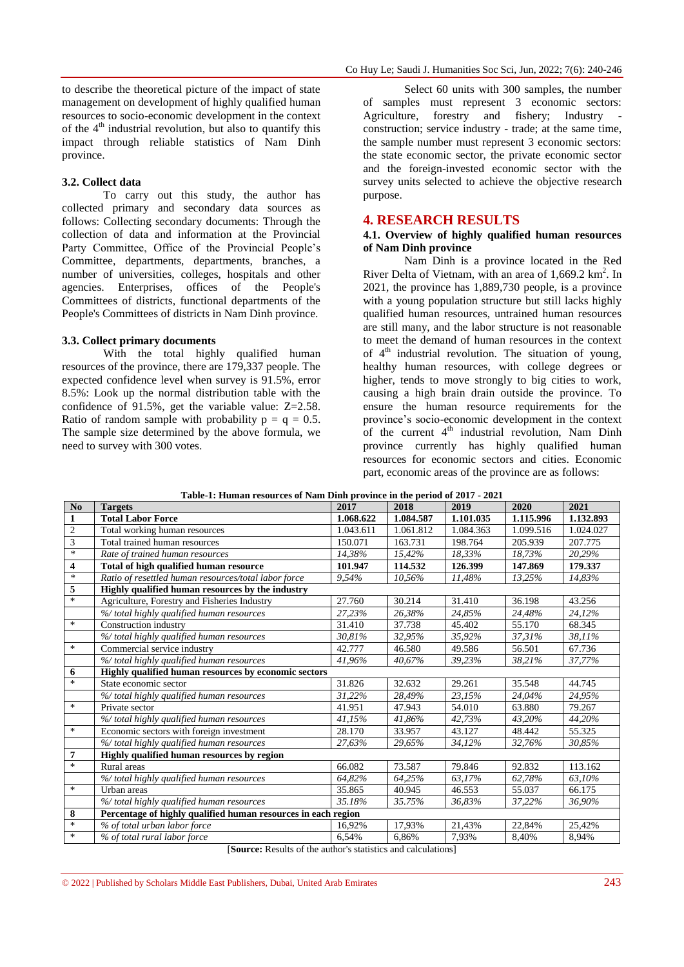to describe the theoretical picture of the impact of state management on development of highly qualified human resources to socio-economic development in the context of the  $4<sup>th</sup>$  industrial revolution, but also to quantify this impact through reliable statistics of Nam Dinh province.

### **3.2. Collect data**

To carry out this study, the author has collected primary and secondary data sources as follows: Collecting secondary documents: Through the collection of data and information at the Provincial Party Committee, Office of the Provincial People's Committee, departments, departments, branches, a number of universities, colleges, hospitals and other agencies. Enterprises, offices of the People's Committees of districts, functional departments of the People's Committees of districts in Nam Dinh province.

#### **3.3. Collect primary documents**

With the total highly qualified human resources of the province, there are 179,337 people. The expected confidence level when survey is 91.5%, error 8.5%: Look up the normal distribution table with the confidence of 91.5%, get the variable value: Z=2.58. Ratio of random sample with probability  $p = q = 0.5$ . The sample size determined by the above formula, we need to survey with 300 votes.

Select 60 units with 300 samples, the number of samples must represent 3 economic sectors: Agriculture, forestry and fishery; Industry construction; service industry - trade; at the same time, the sample number must represent 3 economic sectors: the state economic sector, the private economic sector and the foreign-invested economic sector with the survey units selected to achieve the objective research purpose.

#### **4. RESEARCH RESULTS**

#### **4.1. Overview of highly qualified human resources of Nam Dinh province**

Nam Dinh is a province located in the Red River Delta of Vietnam, with an area of 1,669.2 km<sup>2</sup>. In 2021, the province has 1,889,730 people, is a province with a young population structure but still lacks highly qualified human resources, untrained human resources are still many, and the labor structure is not reasonable to meet the demand of human resources in the context of  $4<sup>th</sup>$  industrial revolution. The situation of young, healthy human resources, with college degrees or higher, tends to move strongly to big cities to work, causing a high brain drain outside the province. To ensure the human resource requirements for the province's socio-economic development in the context of the current  $4<sup>th</sup>$  industrial revolution, Nam Dinh province currently has highly qualified human resources for economic sectors and cities. Economic part, economic areas of the province are as follows:

| No.                     | <b>Targets</b>                                                | 2017      | 2018      | 2019      | 2020      | 2021      |  |  |
|-------------------------|---------------------------------------------------------------|-----------|-----------|-----------|-----------|-----------|--|--|
| $\mathbf{1}$            | <b>Total Labor Force</b>                                      | 1.068.622 | 1.084.587 | 1.101.035 | 1.115.996 | 1.132.893 |  |  |
| $\overline{c}$          | Total working human resources                                 | 1.043.611 | 1.061.812 | 1.084.363 | 1.099.516 | 1.024.027 |  |  |
| 3                       | Total trained human resources                                 | 150.071   | 163.731   | 198.764   | 205.939   | 207.775   |  |  |
| $\ast$                  | Rate of trained human resources                               | 14,38%    | 15,42%    | 18,33%    | 18,73%    | 20,29%    |  |  |
| $\overline{\mathbf{4}}$ | Total of high qualified human resource                        | 101.947   | 114.532   | 126.399   | 147.869   | 179.337   |  |  |
| $\ast$                  | Ratio of resettled human resources/total labor force          | 9,54%     | 10,56%    | 11,48%    | 13,25%    | 14,83%    |  |  |
| 5                       | Highly qualified human resources by the industry              |           |           |           |           |           |  |  |
| $\ast$                  | Agriculture, Forestry and Fisheries Industry                  | 27.760    | 30.214    | 31.410    | 36.198    | 43.256    |  |  |
|                         | % total highly qualified human resources                      | 27,23%    | 26,38%    | 24,85%    | 24,48%    | 24,12%    |  |  |
| $\ast$                  | Construction industry                                         | 31.410    | 37.738    | 45.402    | 55.170    | 68.345    |  |  |
|                         | % total highly qualified human resources                      | 30,81%    | 32,95%    | 35,92%    | 37,31%    | 38,11%    |  |  |
| $\ast$                  | Commercial service industry                                   | 42.777    | 46.580    | 49.586    | 56.501    | 67.736    |  |  |
|                         | % total highly qualified human resources                      | 41,96%    | 40,67%    | 39,23%    | 38,21%    | 37,77%    |  |  |
| 6                       | Highly qualified human resources by economic sectors          |           |           |           |           |           |  |  |
| $\ast$                  | State economic sector                                         | 31.826    | 32.632    | 29.261    | 35.548    | 44.745    |  |  |
|                         | % total highly qualified human resources                      | 31.22%    | 28,49%    | 23.15%    | 24.04%    | 24,95%    |  |  |
| $\ast$                  | Private sector                                                | 41.951    | 47.943    | 54.010    | 63.880    | 79.267    |  |  |
|                         | % total highly qualified human resources                      | 41,15%    | 41,86%    | 42,73%    | 43,20%    | 44,20%    |  |  |
| $\ast$                  | Economic sectors with foreign investment                      | 28.170    | 33.957    | 43.127    | 48.442    | 55.325    |  |  |
|                         | % total highly qualified human resources                      | 27,63%    | 29,65%    | 34,12%    | 32,76%    | 30,85%    |  |  |
| 7                       | Highly qualified human resources by region                    |           |           |           |           |           |  |  |
| $\ast$                  | Rural areas                                                   | 66.082    | 73.587    | 79.846    | 92.832    | 113.162   |  |  |
|                         | % total highly qualified human resources                      | 64,82%    | 64,25%    | 63,17%    | 62,78%    | 63,10%    |  |  |
| $\ast$                  | Urban areas                                                   | 35.865    | 40.945    | 46.553    | 55.037    | 66.175    |  |  |
|                         | % total highly qualified human resources                      | 35.18%    | 35.75%    | 36,83%    | 37,22%    | 36,90%    |  |  |
| 8                       | Percentage of highly qualified human resources in each region |           |           |           |           |           |  |  |
| $\ast$                  | % of total urban labor force                                  | 16,92%    | 17,93%    | 21,43%    | 22,84%    | 25,42%    |  |  |
| $\ast$                  | % of total rural labor force                                  | 6,54%     | 6,86%     | 7,93%     | 8,40%     | 8,94%     |  |  |

**Table-1: Human resources of Nam Dinh province in the period of 2017 - 2021**

[**Source:** Results of the author's statistics and calculations]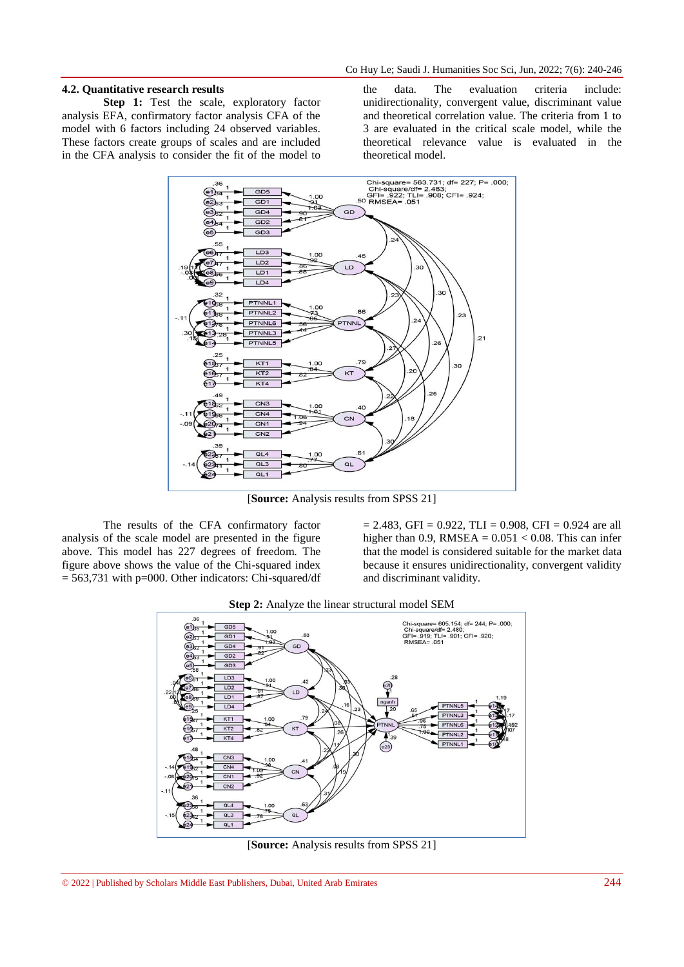#### **4.2. Quantitative research results**

**Step 1:** Test the scale, exploratory factor analysis EFA, confirmatory factor analysis CFA of the model with 6 factors including 24 observed variables. These factors create groups of scales and are included in the CFA analysis to consider the fit of the model to

the data. The evaluation criteria include: unidirectionality, convergent value, discriminant value and theoretical correlation value. The criteria from 1 to 3 are evaluated in the critical scale model, while the theoretical relevance value is evaluated in the theoretical model.



[**Source:** Analysis results from SPSS 21]

The results of the CFA confirmatory factor analysis of the scale model are presented in the figure above. This model has 227 degrees of freedom. The figure above shows the value of the Chi-squared index  $= 563,731$  with p=000. Other indicators: Chi-squared/df  $= 2.483$ , GFI = 0.922, TLI = 0.908, CFI = 0.924 are all higher than 0.9, RMSEA =  $0.051 < 0.08$ . This can infer that the model is considered suitable for the market data because it ensures unidirectionality, convergent validity and discriminant validity.



[**Source:** Analysis results from SPSS 21]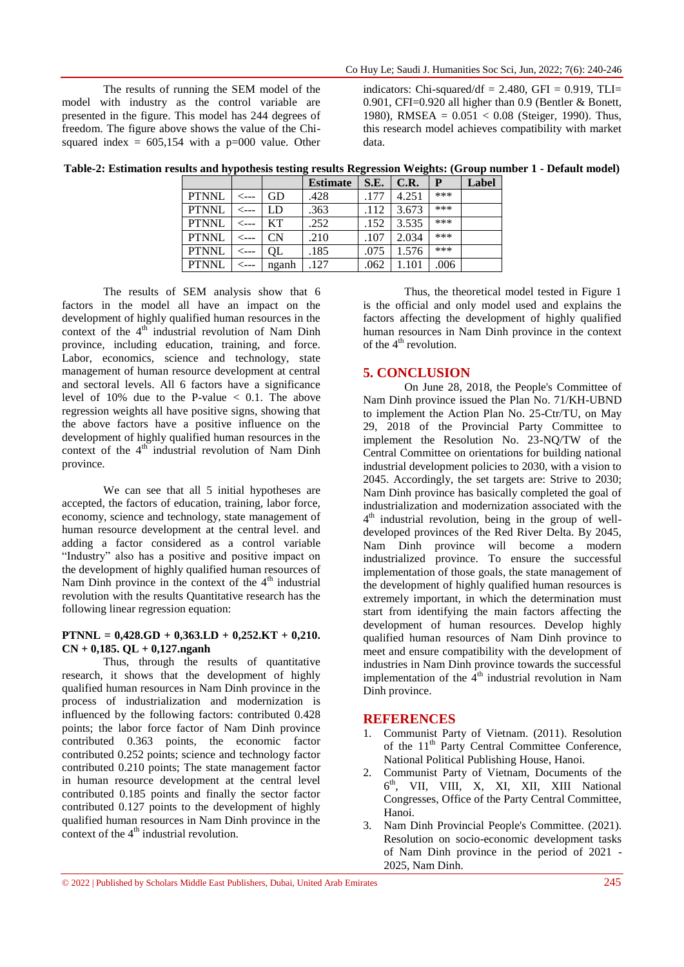The results of running the SEM model of the model with industry as the control variable are presented in the figure. This model has 244 degrees of freedom. The figure above shows the value of the Chisquared index =  $605,154$  with a p=000 value. Other indicators: Chi-squared/df =  $2.480$ , GFI = 0.919, TLI= 0.901, CFI=0.920 all higher than 0.9 (Bentler & Bonett, 1980), RMSEA =  $0.051 < 0.08$  (Steiger, 1990). Thus, this research model achieves compatibility with market data.

| Table-2: Estimation results and hypothesis testing results Regression Weights: (Group number 1 - Default model) |  |  |
|-----------------------------------------------------------------------------------------------------------------|--|--|
|                                                                                                                 |  |  |

|              |       | <b>Estimate</b> | S.E. | C.R.  | P    | Label |
|--------------|-------|-----------------|------|-------|------|-------|
| <b>PTNNL</b> | GD    | .428            | .177 | 4.251 | ***  |       |
| <b>PTNNL</b> | LD    | .363            | .112 | 3.673 | ***  |       |
| <b>PTNNL</b> | KТ    | .252            | .152 | 3.535 | ***  |       |
| <b>PTNNL</b> | CN    | .210            | .107 | 2.034 | ***  |       |
| <b>PTNNL</b> | QL    | .185            | .075 | 1.576 | ***  |       |
| <b>PTNNL</b> | nganh | 127             | .062 |       | .006 |       |

The results of SEM analysis show that 6 factors in the model all have an impact on the development of highly qualified human resources in the context of the  $4<sup>th</sup>$  industrial revolution of Nam Dinh province, including education, training, and force. Labor, economics, science and technology, state management of human resource development at central and sectoral levels. All 6 factors have a significance level of 10% due to the P-value  $< 0.1$ . The above regression weights all have positive signs, showing that the above factors have a positive influence on the development of highly qualified human resources in the context of the  $4<sup>th</sup>$  industrial revolution of Nam Dinh province.

We can see that all 5 initial hypotheses are accepted, the factors of education, training, labor force, economy, science and technology, state management of human resource development at the central level. and adding a factor considered as a control variable "Industry" also has a positive and positive impact on the development of highly qualified human resources of Nam Dinh province in the context of the  $4<sup>th</sup>$  industrial revolution with the results Quantitative research has the following linear regression equation:

### **PTNNL = 0,428.GD + 0,363.LD + 0,252.KT + 0,210. CN + 0,185. QL + 0,127.nganh**

Thus, through the results of quantitative research, it shows that the development of highly qualified human resources in Nam Dinh province in the process of industrialization and modernization is influenced by the following factors: contributed 0.428 points; the labor force factor of Nam Dinh province contributed 0.363 points, the economic factor contributed 0.252 points; science and technology factor contributed 0.210 points; The state management factor in human resource development at the central level contributed 0.185 points and finally the sector factor contributed 0.127 points to the development of highly qualified human resources in Nam Dinh province in the context of the  $4<sup>th</sup>$  industrial revolution.

Thus, the theoretical model tested in Figure 1 is the official and only model used and explains the factors affecting the development of highly qualified human resources in Nam Dinh province in the context of the  $4<sup>th</sup>$  revolution.

## **5. CONCLUSION**

On June 28, 2018, the People's Committee of Nam Dinh province issued the Plan No. 71/KH-UBND to implement the Action Plan No. 25-Ctr/TU, on May 29, 2018 of the Provincial Party Committee to implement the Resolution No. 23-NQ/TW of the Central Committee on orientations for building national industrial development policies to 2030, with a vision to 2045. Accordingly, the set targets are: Strive to 2030; Nam Dinh province has basically completed the goal of industrialization and modernization associated with the 4<sup>th</sup> industrial revolution, being in the group of welldeveloped provinces of the Red River Delta. By 2045, Nam Dinh province will become a modern industrialized province. To ensure the successful implementation of those goals, the state management of the development of highly qualified human resources is extremely important, in which the determination must start from identifying the main factors affecting the development of human resources. Develop highly qualified human resources of Nam Dinh province to meet and ensure compatibility with the development of industries in Nam Dinh province towards the successful implementation of the  $4<sup>th</sup>$  industrial revolution in Nam Dinh province.

#### **REFERENCES**

- 1. Communist Party of Vietnam. (2011). Resolution of the 11<sup>th</sup> Party Central Committee Conference, National Political Publishing House, Hanoi.
- 2. Communist Party of Vietnam, Documents of the 6 th, VII, VIII, X, XI, XII, XIII National Congresses, Office of the Party Central Committee, Hanoi.
- 3. Nam Dinh Provincial People's Committee. (2021). Resolution on socio-economic development tasks of Nam Dinh province in the period of 2021 - 2025, Nam Dinh.